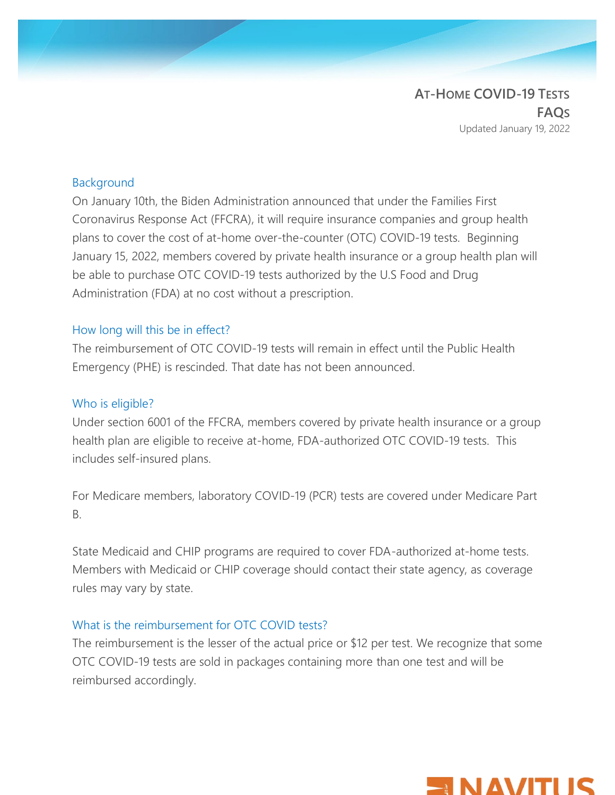**AT-HOME COVID-19 TESTS FAQS** Updated January 19, 2022

#### Background

On January 10th, the Biden Administration announced that under the Families First Coronavirus Response Act (FFCRA), it will require insurance companies and group health plans to cover the cost of at-home over-the-counter (OTC) COVID-19 tests. Beginning January 15, 2022, members covered by private health insurance or a group health plan will be able to purchase OTC COVID-19 tests authorized by the U.S Food and Drug Administration (FDA) at no cost without a prescription.

#### How long will this be in effect?

The reimbursement of OTC COVID-19 tests will remain in effect until the Public Health Emergency (PHE) is rescinded. That date has not been announced.

#### Who is eligible?

Under section 6001 of the FFCRA, members covered by private health insurance or a group health plan are eligible to receive at-home, FDA-authorized OTC COVID-19 tests. This includes self-insured plans.

For Medicare members, laboratory COVID-19 (PCR) tests are covered under Medicare Part B.

State Medicaid and CHIP programs are required to cover FDA-authorized at-home tests. Members with Medicaid or CHIP coverage should contact their state agency, as coverage rules may vary by state.

#### What is the reimbursement for OTC COVID tests?

The reimbursement is the lesser of the actual price or \$12 per test. We recognize that some OTC COVID-19 tests are sold in packages containing more than one test and will be reimbursed accordingly.

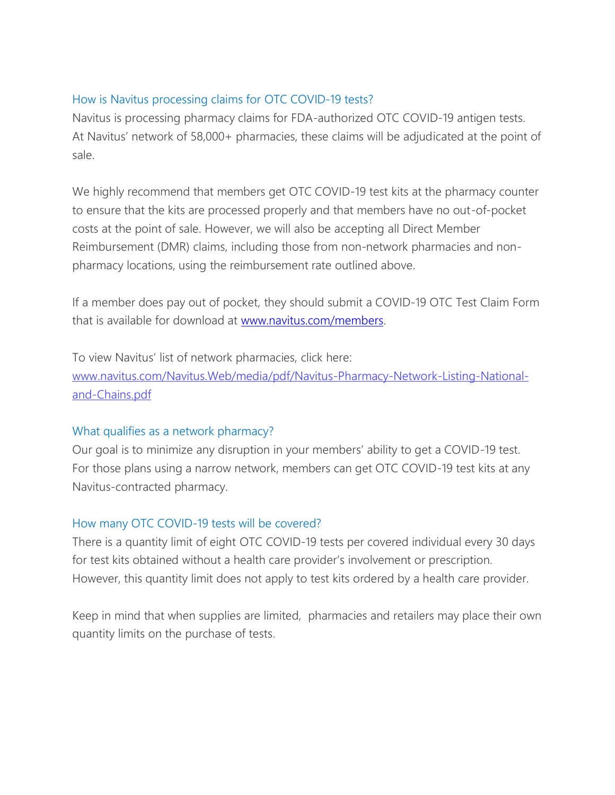## How is Navitus processing claims for OTC COVID-19 tests?

Navitus is processing pharmacy claims for FDA-authorized OTC COVID-19 antigen tests. At Navitus' network of 58,000+ pharmacies, these claims will be adjudicated at the point of sale.

We highly recommend that members get OTC COVID-19 test kits at the pharmacy counter to ensure that the kits are processed properly and that members have no out-of-pocket costs at the point of sale. However, we will also be accepting all Direct Member Reimbursement (DMR) claims, including those from non-network pharmacies and nonpharmacy locations, using the reimbursement rate outlined above.

If a member does pay out of pocket, they should submit a COVID-19 OTC Test Claim Form that is available for download at [www.navitus.com/members.](http://www.navitus.com/members)

To view Navitus' list of network pharmacies, click here: [www.navitus.com/Navitus.Web/media/pdf/Navitus-Pharmacy-Network-Listing-National](http://www.navitus.com/Navitus.Web/media/pdf/Navitus-Pharmacy-Network-Listing-National-and-Chains.pdf)[and-Chains.pdf](http://www.navitus.com/Navitus.Web/media/pdf/Navitus-Pharmacy-Network-Listing-National-and-Chains.pdf)

## What qualifies as a network pharmacy?

Our goal is to minimize any disruption in your members' ability to get a COVID-19 test. For those plans using a narrow network, members can get OTC COVID-19 test kits at any Navitus-contracted pharmacy.

## How many OTC COVID-19 tests will be covered?

There is a quantity limit of eight OTC COVID-19 tests per covered individual every 30 days for test kits obtained without a health care provider's involvement or prescription. However, this quantity limit does not apply to test kits ordered by a health care provider.

Keep in mind that when supplies are limited, pharmacies and retailers may place their own quantity limits on the purchase of tests.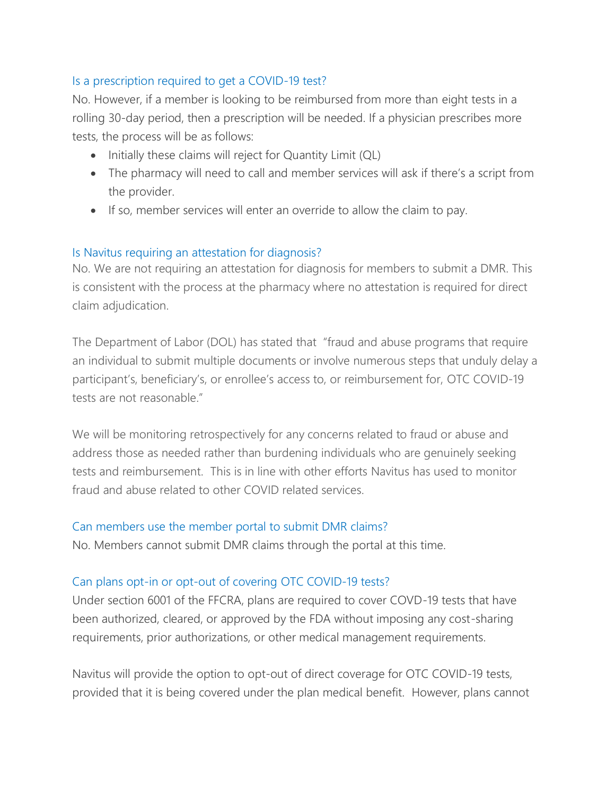# Is a prescription required to get a COVID-19 test?

No. However, if a member is looking to be reimbursed from more than eight tests in a rolling 30-day period, then a prescription will be needed. If a physician prescribes more tests, the process will be as follows:

- Initially these claims will reject for Quantity Limit (QL)
- The pharmacy will need to call and member services will ask if there's a script from the provider.
- If so, member services will enter an override to allow the claim to pay.

## Is Navitus requiring an attestation for diagnosis?

No. We are not requiring an attestation for diagnosis for members to submit a DMR. This is consistent with the process at the pharmacy where no attestation is required for direct claim adjudication.

The Department of Labor (DOL) has stated that "fraud and abuse programs that require an individual to submit multiple documents or involve numerous steps that unduly delay a participant's, beneficiary's, or enrollee's access to, or reimbursement for, OTC COVID-19 tests are not reasonable."

We will be monitoring retrospectively for any concerns related to fraud or abuse and address those as needed rather than burdening individuals who are genuinely seeking tests and reimbursement. This is in line with other efforts Navitus has used to monitor fraud and abuse related to other COVID related services.

## Can members use the member portal to submit DMR claims?

No. Members cannot submit DMR claims through the portal at this time.

## Can plans opt-in or opt-out of covering OTC COVID-19 tests?

Under section 6001 of the FFCRA, plans are required to cover COVD-19 tests that have been authorized, cleared, or approved by the FDA without imposing any cost-sharing requirements, prior authorizations, or other medical management requirements.

Navitus will provide the option to opt-out of direct coverage for OTC COVID-19 tests, provided that it is being covered under the plan medical benefit. However, plans cannot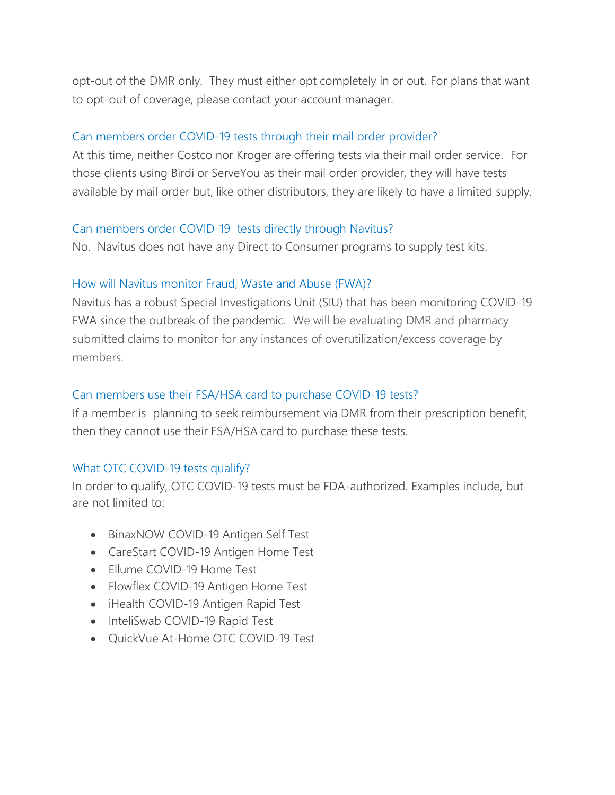opt-out of the DMR only. They must either opt completely in or out. For plans that want to opt-out of coverage, please contact your account manager.

### Can members order COVID-19 tests through their mail order provider?

At this time, neither Costco nor Kroger are offering tests via their mail order service. For those clients using Birdi or ServeYou as their mail order provider, they will have tests available by mail order but, like other distributors, they are likely to have a limited supply.

#### Can members order COVID-19 tests directly through Navitus?

No. Navitus does not have any Direct to Consumer programs to supply test kits.

#### How will Navitus monitor Fraud, Waste and Abuse (FWA)?

Navitus has a robust Special Investigations Unit (SIU) that has been monitoring COVID-19 FWA since the outbreak of the pandemic. We will be evaluating DMR and pharmacy submitted claims to monitor for any instances of overutilization/excess coverage by members.

#### Can members use their FSA/HSA card to purchase COVID-19 tests?

If a member is planning to seek reimbursement via DMR from their prescription benefit, then they cannot use their FSA/HSA card to purchase these tests.

#### What OTC COVID-19 tests qualify?

In order to qualify, OTC COVID-19 tests must be FDA-authorized. Examples include, but are not limited to:

- BinaxNOW COVID-19 Antigen Self Test
- CareStart COVID-19 Antigen Home Test
- Ellume COVID-19 Home Test
- Flowflex COVID-19 Antigen Home Test
- iHealth COVID-19 Antigen Rapid Test
- InteliSwab COVID-19 Rapid Test
- QuickVue At-Home OTC COVID-19 Test